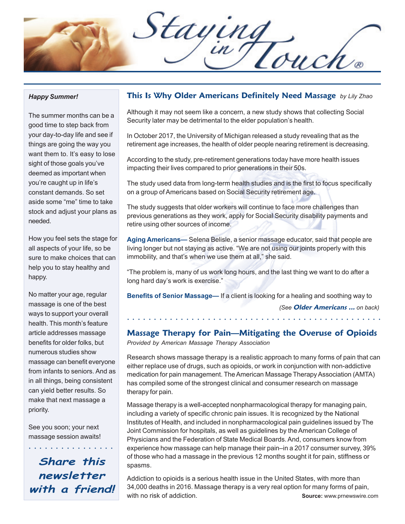Staying

#### *Happy Summer!*

The summer months can be a good time to step back from your day-to-day life and see if things are going the way you want them to. It's easy to lose sight of those goals you've deemed as important when you're caught up in life's constant demands. So set aside some "me" time to take stock and adjust your plans as needed.

How you feel sets the stage for all aspects of your life, so be sure to make choices that can help you to stay healthy and happy.

No matter your age, regular massage is one of the best ways to support your overall health. This month's feature article addresses massage benefits for older folks, but numerous studies show massage can benefit everyone from infants to seniors. And as in all things, being consistent can yield better results. So make that next massage a priority.

See you soon; your next massage session awaits!

**Share this newsletter with a friend!**

○○○○○○○○○○○○○○○○

### **This Is Why Older Americans Definitely Need Massage** *by Lily Zhao*

Although it may not seem like a concern, a new study shows that collecting Social Security later may be detrimental to the elder population's health.

In October 2017, the University of Michigan released a study revealing that as the retirement age increases, the health of older people nearing retirement is decreasing.

According to the study, pre-retirement generations today have more health issues impacting their lives compared to prior generations in their 50s.

The study used data from long-term health studies and is the first to focus specifically on a group of Americans based on Social Security retirement age.

The study suggests that older workers will continue to face more challenges than previous generations as they work, apply for Social Security disability payments and retire using other sources of income.

**Aging Americans—** Selena Belisle, a senior massage educator, said that people are living longer but not staying as active. "We are not using our joints properly with this immobility, and that's when we use them at all," she said.

"The problem is, many of us work long hours, and the last thing we want to do after a long hard day's work is exercise."

**Benefits of Senior Massage—** If a client is looking for a healing and soothing way to *(See* **Older Americans ...** *on back)*

### **Massage Therapy for Pain—Mitigating the Overuse of Opioids**

○○○○○○○○○○○○○○○○○○ ○○○○○○○○○○○○○○○○○○○○○○○○○○○○○○

*Provided by American Massage Therapy Association*

Research shows massage therapy is a realistic approach to many forms of pain that can either replace use of drugs, such as opioids, or work in conjunction with non-addictive medication for pain management. The American Massage Therapy Association (AMTA) has compiled some of the strongest clinical and consumer research on massage therapy for pain.

Massage therapy is a well-accepted nonpharmacological therapy for managing pain, including a variety of specific chronic pain issues. It is recognized by the National Institutes of Health, and included in nonpharmacological pain guidelines issued by The Joint Commission for hospitals, as well as guidelines by the American College of Physicians and the Federation of State Medical Boards. And, consumers know from experience how massage can help manage their pain–in a 2017 consumer survey, 39% of those who had a massage in the previous 12 months sought it for pain, stiffness or spasms.

Addiction to opioids is a serious health issue in the United States, with more than 34,000 deaths in 2016. Massage therapy is a very real option for many forms of pain, with no risk of addiction. **Source:** www.prnewswire.com